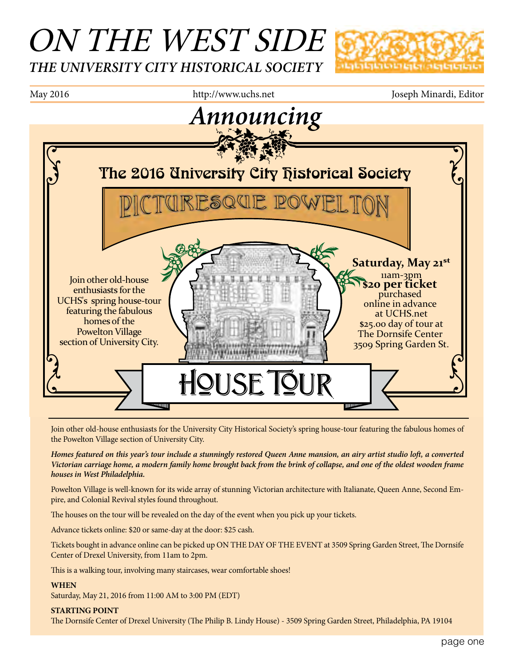# ON THE WEST SIDE *THE UNIVERSITY CITY HISTORICAL SOCIETY*





Join other old-house enthusiasts for the University City Historical Society's spring house-tour featuring the fabulous homes of the Powelton Village section of University City.

*Homes featured on this year's tour include a stunningly restored Queen Anne mansion, an airy artist studio loft, a converted Victorian carriage home, a modern family home brought back from the brink of collapse, and one of the oldest wooden frame houses in West Philadelphia.*

Powelton Village is well-known for its wide array of stunning Victorian architecture with Italianate, Queen Anne, Second Empire, and Colonial Revival styles found throughout.

The houses on the tour will be revealed on the day of the event when you pick up your tickets.

Advance tickets online: \$20 or same-day at the door: \$25 cash.

Tickets bought in advance online can be picked up ON THE DAY OF THE EVENT at 3509 Spring Garden Street, The Dornsife Center of Drexel University, from 11am to 2pm.

This is a walking tour, involving many staircases, wear comfortable shoes!

#### **WHEN**

Saturday, May 21, 2016 from 11:00 AM to 3:00 PM (EDT)

#### **STARTING POINT**

The Dornsife Center of Drexel University (The Philip B. Lindy House) - 3509 Spring Garden Street, Philadelphia, PA 19104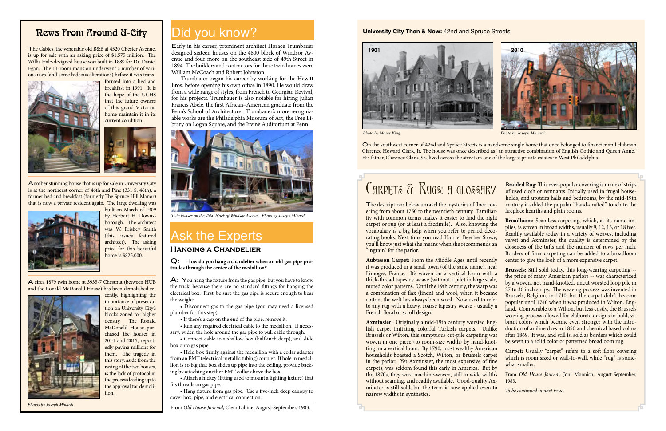Q: H**ow do you hang a chandelier when an old gas pipe protrudes through the center of the medallion?**

A: You hang the fixture from the gas pipe, but you have to know the trick, because there are no standard fittings for hanging the electrical box. First, be sure the gas pipe is secure enough to bear the weight:

 • Disconnect gas to the gas pipe (you may need a licensed plumber for this step).

 • If there's a cap on the end of the pipe, remove it.

 • Run any required electrical cable to the medallion. If necessary, widen the hole around the gas pipe to pull cable through.

 • Connect cable to a shallow box (half-inch deep), and slide box onto gas pipe.

 • Hold box firmly against the medallion with a collar adapter from an EMT (electrical metallic tubing) coupler. If hole in medallion is so big that box slides up pipe into the ceiling, provide backing by attaching another EMT collar above the box.

 • Attach a hickey (fitting used to mount a lighting fixture) that fits threads on gas pipe.

 • Hang fixture from gas pipe. Use a five-inch deep canopy to cover box, pipe, and electrical connection.

From *Old House Journal*, Clem Labine, August-September, 1983.

### **Hanging a Chandelier**

## Ask the Experts

*Photo by Moses King. Photo by Joseph Minardi.*

The descriptions below unravel the mysteries of floor covering from about 1750 to the twentieth century. Familiarity with common terms makes it easier to find the right carpet or rug (or at least a facsimile). Also, knowing the vocabulary is a big help when you refer to period decorating books: Next time you read Harriet Beecher Stowe, you'll know just what she means when she recommends an "ingrain" for the parlor.

On the southwest corner of 42nd and Spruce Streets is a handsome single home that once belonged to financier and clubman Clarence Howard Clark, Jr. The house was once described as "an attractive combination of English Gothic and Queen Anne." His father, Clarence Clark, Sr., lived across the street on one of the largest private estates in West Philadelphia.

# C**ARPETS & RUGS: A GLOSSARY**



#### **University City Then & Now:** 42nd and Spruce Streets

Early in his career, prominent architect Horace Trumbauer designed sixteen houses on the 4800 block of Windsor Avenue and four more on the southeast side of 49th Street in 1894. The builders and contractors for these twin homes were William McCoach and Robert Johnston.

Trumbauer began his career by working for the Hewitt Bros. before opening his own office in 1890. He would draw from a wide range of styles, from French to Georgian Revival, for his projects. Trumbauer is also notable for hiring Julian Francis Abele, the first African–American graduate from the Penn's School of Architecture. Trumbauer's more recognizable works are the Philadelphia Museum of Art, the Free Library on Logan Square, and the Irvine Auditorium at Penn.



*Twin houses on the 4800 block of Windsor Avenue. Photo by Joseph Minardi.*

**Aubusson Carpet:** From the Middle Ages until recently it was produced in a small town (of the same name), near Limoges, France. It's woven on a vertical loom with a thick-thread tapestry weave (without a pile) in large scale, muted color patterns. Until the 19th century, the warp was a combination of flax (linen) and wool, when it became cotton; the weft has always been wool. Now used to refer to any rug with a heavy, coarse tapestry weave - usually a French floral or scroll design.

**Braided Rug:** This ever-popular covering is made of strips of used cloth or remnants. Initially used in frugal households, and upstairs halls and bedrooms, by the mid-19th century it added the popular "hand-crafted" touch to the fireplace hearths and plain rooms.

**Axminster:** Originally a mid-19th century worsted English carpet imitating colorful Turkish carpets. Unlike Brussels or Wilton, this sumptuous cut-pile carpeting was woven in one piece (to room-size width) by hand-knotting on a vertical loom. By 1790, most wealthy American households boasted a Scotch, Wilton, or Brussels carpet in the parlor. Yet Axminster, the most expensive of fine carpets, was seldom found this early in America. But by the 1870s, they were machine-woven, still in wide widths without seaming, and readily available. Good-quality Axminster is still sold, but the term is now applied even to narrow widths in synthetics. duction of aniline dyes in 1850 and chemical based colors after 1869. It was, and still is, sold as borders which could be sewn to a solid color or patterned broadloom rug. **Carpet:** Usually "carpet" refers to a soft floor covering which is room sized or wall-to-wall, while "rug" is somewhat smaller. From *Old House Journal*, Joni Monnich, August-September, 1983. *To be continued in next issue.*

**Broadloom:** Seamless carpeting, which, as its name implies, is woven in broad widths, usually 9, 12, 15, or 18 feet. Readily available today in a variety of weaves, including velvet and Axminster, the quality is determined by the closeness of the tufts and the number of rows per inch. Borders of finer carpeting can be added to a broadloom center to give the look of a more expensive carpet.

**Brussels:** Still sold today, this long-wearing carpeting - the pride of many American parlors -- was characterized by a woven, not hand-knotted, uncut worsted loop pile in 27 to 36 inch strips. The weaving process was invented in Brussels, Belgium, in 1710, but the carpet didn't become popular until 1740 when it was produced in Wilton, England. Comparable to a Wilton, but less costly, the Brussels weaving process allowed for elaborate designs in bold, vibrant colors which became even stronger with the intro-

### Rews From Around U-City

The Gables, the venerable old B&B at 4520 Chester Avenue, is up for sale with an asking price of \$1.575 million. The Willis Hale-designed house was built in 1889 for Dr. Daniel Egan. The 11-room mansion underwent a number of various uses (and some hideous alterations) before it was trans-



formed into a bed and breakfast in 1991. It is the hope of the UCHS that the future owners of this grand Victorian home maintain it in its current condition.



Another stunning house that is up for sale in University City is at the northeast corner of 46th and Pine (331 S. 46th), a former bed and breakfast (formerly The Spruce Hill Manor) that is now a private resident again. The large dwelling was built on March of 1909



by Herbert H. Downsborough. The architect was W. Frisbey Smith (this issue's featured architect). The asking price for this beautiful home is \$825,000.

A circa 1879 twin home at 3935-7 Chestnut (between HUB and the Ronald McDonald House) has been demolished re-



cently, highlighting the

importance of preservation on University City's blocks zoned for higher density. The Ronald McDonald House purchased the houses in 2014 and 2015, reportedly paying millions for them. The tragedy in this story, aside from the razing of the two houses, is the lack of protocol in the process leading up to the approval for demolition.

#### *Photos by Joseph Minardi.*

### Did you know?